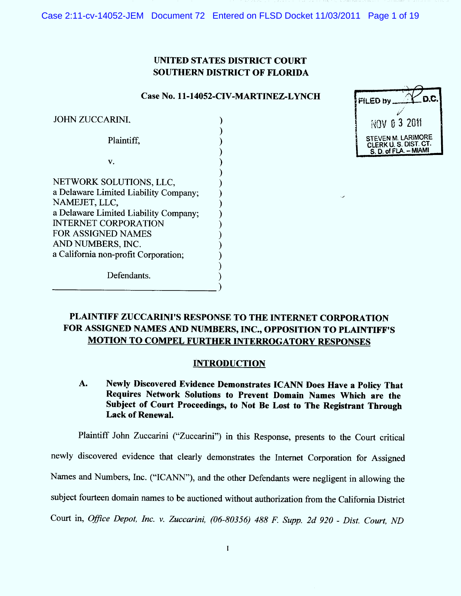Case 2:11-cv-14052-JEM Document 72 Entered on FLSD Docket 11/03/2011 Page 1 of 19

### **UNITED STATES DISTRICT COURT SOUTHERN DISTRICT OF FLORIDA**

### Case No. 11-14052-CIV-MARTINEZ-LYNCH

| <b>JOHN ZUCCARINI.</b>                                                                                                                                                                                                                              |
|-----------------------------------------------------------------------------------------------------------------------------------------------------------------------------------------------------------------------------------------------------|
| Plaintiff.                                                                                                                                                                                                                                          |
| v.                                                                                                                                                                                                                                                  |
| NETWORK SOLUTIONS, LLC,<br>a Delaware Limited Liability Company;<br>NAMEJET, LLC,<br>a Delaware Limited Liability Company;<br><b>INTERNET CORPORATION</b><br><b>FOR ASSIGNED NAMES</b><br>AND NUMBERS, INC.<br>a California non-profit Corporation; |
| Defendants.                                                                                                                                                                                                                                         |

| FILED by _ | D.C.                                                                 |
|------------|----------------------------------------------------------------------|
|            | NOV 0 3 2011                                                         |
|            | STEVEN M. LARIMORE<br>CLERK U. S. DIST. CT.<br>S. D. of FLA. - MIAMI |

### PLAINTIFF ZUCCARINI'S RESPONSE TO THE INTERNET CORPORATION FOR ASSIGNED NAMES AND NUMBERS, INC., OPPOSITION TO PLAINTIFF'S **MOTION TO COMPEL FURTHER INTERROGATORY RESPONSES**

### **INTRODUCTION**

Newly Discovered Evidence Demonstrates ICANN Does Have a Policy That A. Requires Network Solutions to Prevent Domain Names Which are the Subject of Court Proceedings, to Not Be Lost to The Registrant Through **Lack of Renewal.** 

Plaintiff John Zuccarini ("Zuccarini") in this Response, presents to the Court critical newly discovered evidence that clearly demonstrates the Internet Corporation for Assigned Names and Numbers, Inc. ("ICANN"), and the other Defendants were negligent in allowing the subject fourteen domain names to be auctioned without authorization from the California District Court in, Office Depot, Inc. v. Zuccarini, (06-80356) 488 F. Supp. 2d 920 - Dist. Court, ND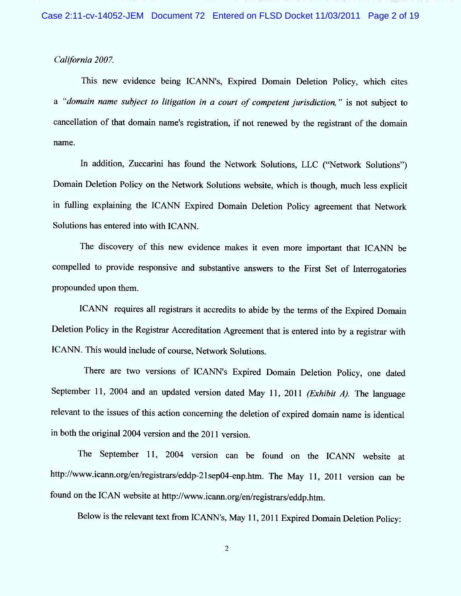### California 2007.

This new evidence being ICANN's, Expired Domain Deletion Policy, which cites a "domain name subject to litigation in a court of competent jurisdiction," is not subject to cancellation of that domain name's registration, if not renewed by the registrant of the domain name.

In addition, Zuccarini has found the Network Solutions, LLC ("Network Solutions") Domain Deletion Policy on the Network Solutions website, which is though, much less explicit in fulling explaining the ICANN Expired Domain Deletion Policy agreement that Network Solutions has entered into with ICANN.

The discovery of this new evidence makes it even more important that ICANN be compelled to provide responsive and substantive answers to the First Set of Interrogatories propounded upon them.

ICANN requires all registrars it accredits to abide by the terms of the Expired Domain Deletion Policy in the Registrar Accreditation Agreement that is entered into by a registrar with ICANN. This would include of course, Network Solutions.

There are two versions of ICANN'S Expired Domain Deletion Policy, one dated September 11, 2004 and an updated version dated May 11, 2011 (Exhibit A). The language relevant to the issues of this action concerning the deletion of expired domain name is identical in both the original 2004 version and the 2011 version.

The September 11, 2004 version can be found on the ICANN website at http://www.icann.org/en/registrars/eddp-21sep04-enp.htm. The May 11, 2011 version can be found on the ICAN website at http://www.icann.org/en/registrars/eddp.htm.

Below is the relevant text from ICANN's, May 11, 2011 Expired Domain Deletion Policy: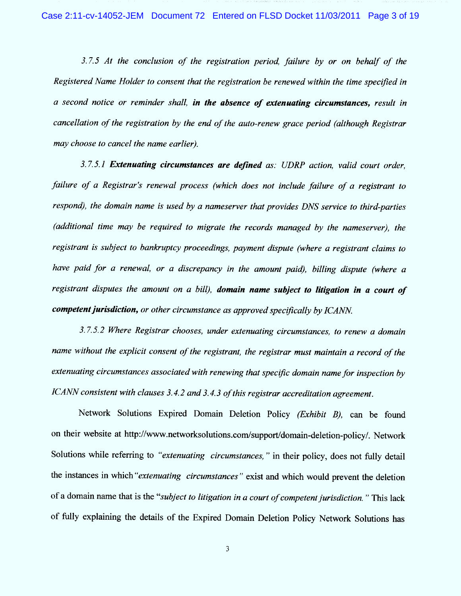$3.7.5$  At the conclusion of the registration period, failure by or on behalf of the Registered Name Holder to consent that the registration be renewed within the time specified in a second notice or reminder shall, in the absence of extenuating circumstances, result in cancellation of the registration by the end of the auto-renew grace period (although Registrar may choose to cancel the name earlier).

 $3.7.5.1$  Extenuating circumstances are defined as: UDRP action, valid court order, failure of a Registrar's renewal process (which does not include failure of a registrant to respond), the domain name is used by a nameserver that provides DNS service to third-parties (additional time may be required to migrate the records managed by the nameserver), the registrant is subject to bankruptcy proceedings, payment dispute (where a registrant claims to have paid for a renewal, or a discrepancy in the amount paid), billing dispute (where a registrant disputes the amount on a bill), domain name subject to litigation in a court of competent jurisdiction, or other circumstance as approved specifically by ICANN.

3.7.5.2 Where Registrar chooses, under extenuating circumstances, to renew a domain name without the explicit consent of the registrant, the registrar must maintain a record of the extenuating circumstances associated with renewing that specific domain name for inspection by ICANN consistent with clauses 3.4.2 and 3.4.3 of this registrar accreditation agreement.

Network Solutions Expired Domain Deletion Policy (Exhibit B), can be found on their website at http://www.networksolutions.com/support/domain-deletion-policy/. Network Solutions while referring to "extenuating circumstances," in their policy, does not fully detail the instances in which "extenuating circumstances" exist and which would prevent the deletion of a domain name that is the "subject to litigation in a court of competent jurisdiction." This lack of fully explaining the details of the Expired Domain Deletion Policy Network Solutions has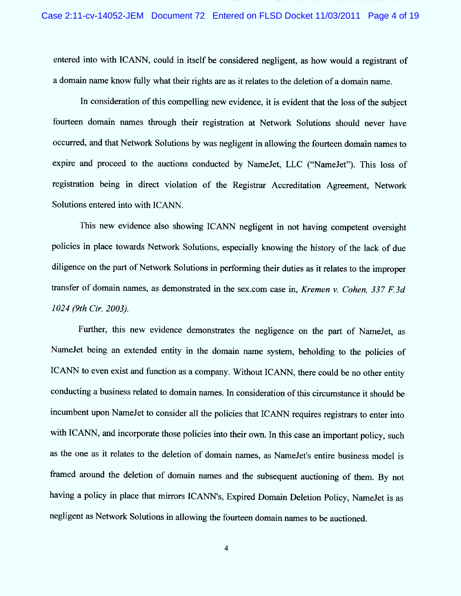entered into with ICANN, could in itself be considered negligent, as how would a registrant of a domain name know fully what their rights are as it relates to the deletion of a domain name.

In consideration of this compelling new evidence, it is evident that the loss of the subject fourteen domain names through their registration at Network Solutions should never have occurred, and that Network Solutions by was negligent in allowing the fourteen domain names to expire and proceed to the auctions conducted by NameJet, LLC ("NameJet"). This loss of registration being in direct violation of the Registrar Accreditation Agreement, Network Solutions entered into with ICANN.

This new evidence also showing ICANN negligent in not having competent oversight policies in place towards Network Solutions, especially knowing the history of the lack of due diligence on the part of Network Solutions in performing their duties as it relates to the improper transfer of domain names, as demonstrated in the sex.com case in, Kremen v. Cohen,  $337 F$ .  $3d$ 1 024 (9th Cir. 2003,).

Further, this new evidence demonstrates the negligence on the part of NameJet, as NameJet being an extended entity in the domain name system, beholding to the policies of ICANN to even exist and function as a company. Without ICANN, there could be no other entity conducting a business related to domain names. In consideration of this circumstance it should be incumbent upon NameJet to consider all the policies that ICANN requires registrars to enter into with ICANN, and incorporate those policies into their own. In this case an important policy, such as the one as it relates to the deletion of domain names, as NameJet's entire business model is framed around the deletion of domain names and the subsequent auctioning of them. By not having a policy in place that mirrors ICANN's, Expired Domain Deletion Policy, NameJet is as negligent as Network Solutions in allowing the fourteen domain names to be auctioned.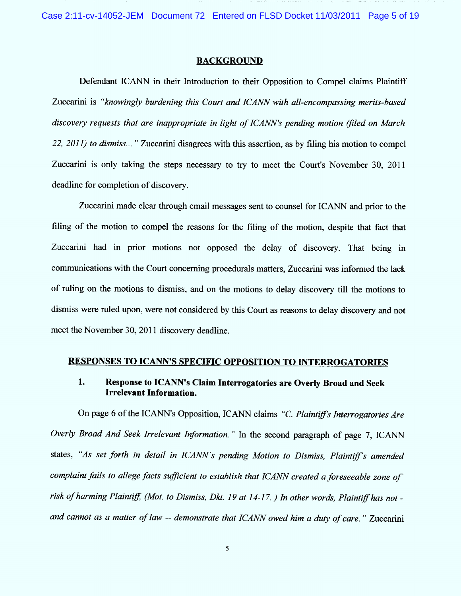Case 2:11-cv-14052-JEM Document 72 Entered on FLSD Docket 11/03/2011 Page 5 of 19

#### **BACKGROUND**

Defendant ICANN in their Introduction to their Opposition to Compel claims Plaintiff Zuccarini is ''knowingly burdening this Court and ICANN with all-encompassing merits-based discovery requests that are inappropriate in light of ICANN's pending motion (filed on March  $22$ ,  $2011$ ) to dismiss..." Zuccarini disagrees with this assertion, as by filing his motion to compel Zuccarini is only taking the steps necessary to try to meet the Court's November 30, 2011 deadline for completion of discovery.

Zuccarini made clear through email messages sent to counsel for ICANN and prior to the filing of the motion to compel the reasons for the filing of the motion, despite that fact that Zuccarini had in prior motions not opposed the delay of discovery. Ihat being in communications with the Court concerning procedurals matters, Zuccarini was informed the lack of ruling on the motions to dismiss, and on the motions to delay discovery till the motions to dismiss were ruled upon, were not considered by this Court as reasons to delay discovery and not meet the November 30, 2011 discovery deadline.

### RESPONSES TO ICANN'S SPECIFIC OPPOSITION TO INTERROGATORIES

### 1. Response to ICANN'S Claim lnterrogatories are Overly Broad and Seek Irrelevant Information.

On page 6 of the ICANN's Opposition, ICANN claims "C. Plaintiff's Interrogatories Are Overly Broad And Seek Irrelevant Information." In the second paragraph of page 7, ICANN states, "As set forth in detail in ICANN's pending Motion to Dismiss, Plaintiff's amended complaint fails to allege facts sufficient to establish that ICANN created a foreseeable zone of risk of harming Plaintiff, (Mot. to Dismiss, Dkt. 19 at 14-17.) In other words, Plaintiff has not and cannot as a matter of law -- demonstrate that ICANN owed him a duty of care." Zuccarini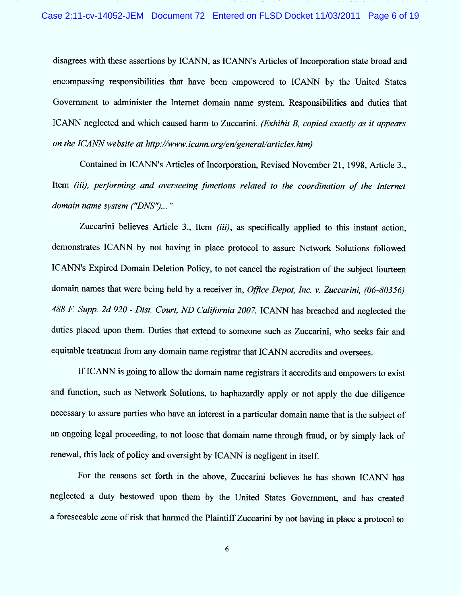disagrees with these assertions by ICANN, as ICANN's Articles of Incorporation state broad and encompassing responsibilities that have been empowered to ICANN by the United States Government to administer the Internet domain name system. Responsibilities and duties that ICANN neglected and which caused harm to Zuccarini. (Exhibit B, copied exactly as it appears on the ICANN website at http://www.icann.org/en/general/articles.htm)

Contained in ICANN'S Articles of lncorporation, Revised November 21, 1998, Article 3., Item (iii), performing and overseeing functions related to the coordination of the Internet domain name system (''DNS')... ''

Zuccarini believes Article 3., Item  $(iii)$ , as specifically applied to this instant action, demonstrates ICANN by not having in place protocol to assure Network Solutions followed ICANN'S Expired Domain Deletion Policy, to not cancel the registration of the subject fourteen domain names that were being held by a receiver in, Office Depot, Inc. v. Zuccarini, (06-80356) 488 F. Supp. 2d 920 - Dist. Court, ND California 2007, ICANN has breached and neglected the duties placed upon them. Duties that extend to someone such as Zuccarini, who seeks fair and equitable treatment from any domain name registrar that ICANN accredits and oversees.

If ICANN is going to allow the domain name registrars it accredits and empowers to exist and function, such as Network Solutions, to haphazzudly apply or not apply the due diligence necessary to assure parties who have an interest in a particular domain name that is the subject of an ongoing legal proceeding, to not loose that domain name through fraud, or by simply lack of renewal, this lack of policy and oversight by ICANN is negligent in itself.

For the reasons set forth in the above, Zuccarini believes he has shown ICANN has neglected a duty bestowed upon them by the United States Government, and has created a foreseeable zone of risk that harmed the Plaintiff Zuccarini by not having in place a protocol to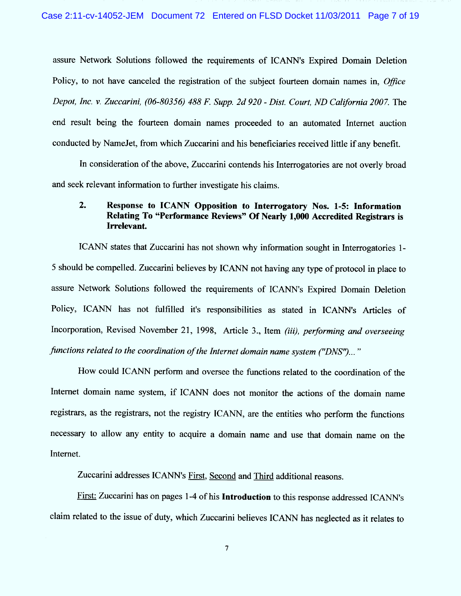assure Network Solutions followed the requirements of ICANN's Expired Domain Deletion Policy, to not have canceled the registration of the subject fourteen domain names in, *Office* Depot, Inc. v. Zuccarini, (06-80356) 488 F. Supp. 2d 920 - Dist. Court, ND California 2007. The end result being the fourteen domain names proceeded to an automated Internet auction conducted by NameJet, from which Zuccarini and his beneficiaries received little if any benefit.

ln consideration of the above, Zuccarini contends his lnterrogatories are not overly broad and seek relevant information to further investigate his claims.

### 2. Response to ICANN Opposition to Interrogatory Nos. 1-5: Information Relating To "Performance Reviews" Of Nearly 1,000 Accredited Registrars is Irrelevant.

ICANN states that Zuccarini has not shown why information sought in lnterrogatories 1- 5 should be compelled. Zuccarini believes by ICANN not having any type of protocol in place to assure Network Solutions followed the requirements of ICANN's Expired Domain Deletion Policy, ICANN has not fulfilled it's responsibilities as stated in ICANN'S Articles of Incorporation, Revised November 21, 1998, Article 3., Item (iii), performing and overseeing functions related to the coordination of the Internet domain name system ("DNS")..."

How could ICANN perform and oversee the functions related to the coordination of the Internet domain name system, if ICANN does not monitor the actions of the domain name registrars, as the registrars, not the registry ICANN, are the entities who perform the functions necessary to allow any entity to acquire a domain name and use that domain name on the Internet.

Zuccarini addresses ICANN's First, Second and Third additional reasons.

First: Zuccarini has on pages 1-4 of his Introduction to this response addressed ICANN's claim related to the issue of duty, which Zuccarini believes ICANN has neglected as it relates to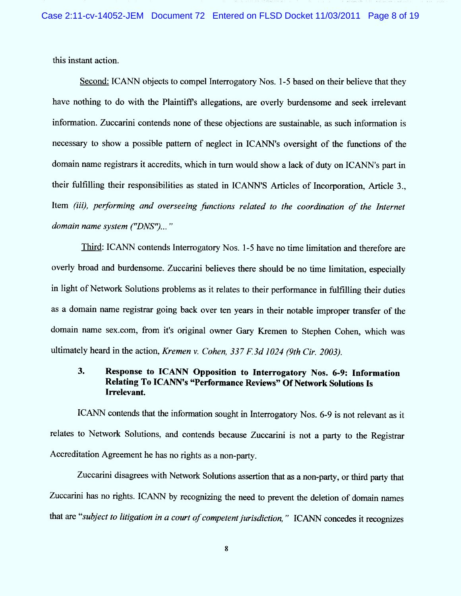this instant action.

Second: ICANN objects to compel Interrogatory Nos. 1-5 based on their believe that they have nothing to do with the Plaintiff's allegations, are overly burdensome and seek irrelevant information. Zuccarini contends none of these objections are sustainable, as such information is necessary to show a possible pattern of neglect in ICANN'S oversight of the functions of the domain name registrars it accredits, which in turn would show a lack of duty on ICANN's part in their fulfilling their responsibilities as stated in ICANN'S Articles of Incorporation, Article 3., Item (iii), performing and overseeing functions related to the coordination of the Internet domain name system ("DNS")..."

Third: ICANN contends Interrogatory Nos. 1-5 have no time limitation and therefore are overly broad and burdensome. Zuccarini believes there should be no time limitation, especially in light of Network Solutions problems as it relates to their performance in fulfilling their duties as a domain name registrar going back over ten years in their notable improper transfer of the domain name sex.com, from it's original owner Gary Kremen to Stephen Cohen, which was ultimately heard in the action, Kremen v. Cohen,  $337 F.3d 1024$  (9th Cir. 2003).

#### $3.$ Response to ICANN Opposition to Interrogatory Nos. 6-9: Information Relating To ICANN's "Performance Reviews" Of Network Solutions Is lrrelevant.

ICANN contends that the information sought in Interrogatory Nos. 6-9 is not relevant as it relates to Network Solutions, and contends because Zuccarini is not a party to the Registrar Accreditation Agreement he has no rights as a non-party.

Zuccarini disagrees with Network Solutions assertion that as a non-party, or third party that Zuccarini has no rights. ICANN by recognizing the need to prevent the deletion of domain names that are "subject to litigation in a court of competent jurisdiction," ICANN concedes it recognizes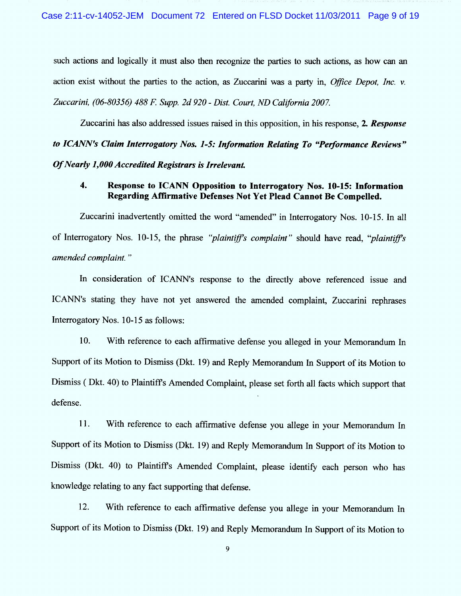such actions and logically it must also then recognize the parties to such actions, as how can an action exist without the parties to the action, as Zuccarini was a party in, *Office Depot, Inc. v.* Zuccarini, (06-80356) 488 F. Supp. 2d 920 - Dist. Court, ND California 2007.

Zuccarini has also addressed issues raised in this opposition, in his response, 2. Response to ICANN's Claim Interrogatory Nos. 1-5: Information Relating To "Performance Reviews" Of Nearly 1,000 Accredited Registrars is Irrelevant.

### 4. Response to ICANN Opposition to Interrogatory Nos. 10-15: Information Regarding Affirmative Defenses Not Yet Plead Cannot Be Compelled.

Zuccarini inadvertently omitted the word "amended" in Interrogatory Nos. 10-15. In all of Interrogatory Nos. 10-15, the phrase "*plaintiff's complaint*" should have read, "*plaintiff's* amended complaint. ''

In consideration of ICANN'S response to the directly above referenced issue and ICANN's stating they have not yet answered the amended complaint, Zuccarini rephrases Interrogatory Nos. 10-15 as follows:

10. With reference to each affirmative defense you alleged in your Memorandum In Support of its Motion to Dismiss (Dkt. 19) and Reply Memorandum In Support of its Motion to Dismiss ( Dkt. 40) to Plaintiffs Amended Complaint, please set forth a11 facts which support that defense.

11. With reference to each affirmative defense you allege in your Memorandum In Support of its Motion to Dismiss (Dkt. 19) and Reply Memorandum In Support of its Motion to Dismiss (Dkt. 40) to Plaintiff's Amended Complaint, please identify each person who has knowledge relating to any fact supporting that defense.

12. With reference to each affirmative defense you allege in your Memorandum In Support of its Motion to Dismiss (Dkt. 19) and Reply Memorandum In Support of its Motion to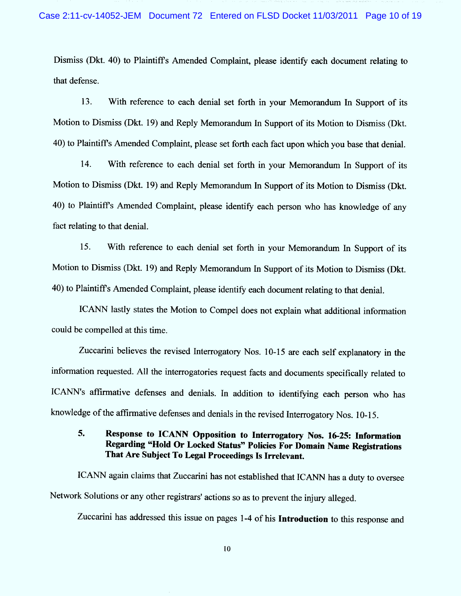Dismiss (Dkt. 40) to Plaintiff's Amended Complaint, please identify each document relating to that defense.

 $13.$ With reference to each denial set forth in your Memorandum In Support of its Motion to Dismiss (Dkt. 19) and Reply Memorandum In Support of its Motion to Dismiss (Dkt. 40) to Plaintiff's Amended Complaint, please set forth each fact upon which you base that denial.

14. With reference to each denial set forth in your Memorandum In Support of its Motion to Dismiss (Dkt. 19) and Reply Memorandum In Support of its Motion to Dismiss (Dkt. 40) to Plaintiff's Amended Complaint, please identify each person who has knowledge of any fact relating to that denial.

15. With reference to each denial set forth in your Memorandum In Support of its Motion to Dismiss (Dkt. 19) and Reply Memorandum In Support of its Motion to Dismiss (Dkt. 40) to Plaintiff's Amended Complaint, please identify each document relating to that denial.

ICANN lastly states the Motion to Compel does not explain what additional information could be compelled at this time.

Zuccarini believes the revised Interrogatory Nos. 10-15 are each self explanatory in the information requested. All the interrogatories request facts and documents specifically related to ICANN'S aftirmative defenses and denials. In addition to identifying each person who has knowledge of the affirmative defenses and denials in the revised Interrogatory Nos. 10-15.

### 5. Response to ICANN Opposition to Interrogatory Nos. 16-25: Information Regarding "Hold Or Locked Status" Policies For Domain Name Registrations That Are Subject To Legal Proceedings ls Irrelevant.

ICANN again claims that Zuccarini has not established that ICANN has a duty to oversee Network Solutions or any other registrars' actions so as to prevent the injury alleged.

Zuccarini has addressed this issue on pages 1-4 of his Introduction to this response and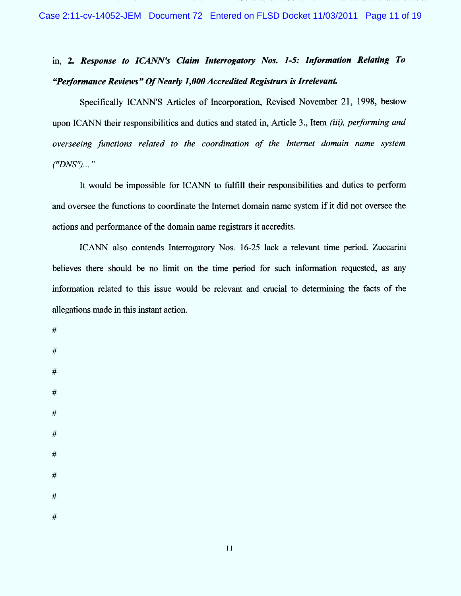# in, 2. Response to ICANN's Claim Interrogatory Nos. 1-5: Information Relating To "Performance Reviews" Of Nearly 1,000 Accredited Registrars is Irrelevant.

Specifically ICANN'S Articles of Incorporation, Revised November 21, 1998, bestow upon ICANN their responsibilities and duties and stated in, Article 3., Item *(iii), performing and* overseeing functions related to the coordination of the Internet domain name system  $(''DNS'')...$ "

It would be impossible for ICANN to fulfill their responsibilities and duties to perform and oversee the functions to coordinate the Internet domain name system if it did not oversee the actions and performance of the domain name registrars it accredits.

ICANN also contends Interrogatory Nos. 16-25 lack a relevant time period. Zuccarini believes there should be no limit on the time period for such information requested, as any information related to this issue would be relevant and crucial to determining the facts of the allegations made in this instant action.

- #
- #
- #

# #

#

#

#

#

#

 $11$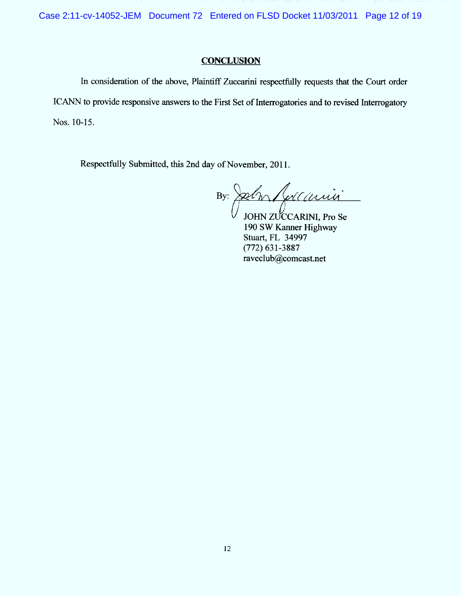Case 2:11-cv-14052-JEM Document 72 Entered on FLSD Docket 11/03/2011 Page 12 of 19

### **CONCLUSION**

In consideration of the above, Plaintiff Zuccarini respectfully requests that the Court order ICANN to provide responsive answers to the First Set of Interrogatories and to revised Interrogatory Nos. 10-15.

Respectfully Submitted, this 2nd day of November, 2011.

By: Selm/wiccurin JOHN ZUCCARINI, Pro Se

190 SW Kanner Highway Stuart, FL 34997  $(772)$  631-3887 raveclub@comcast.net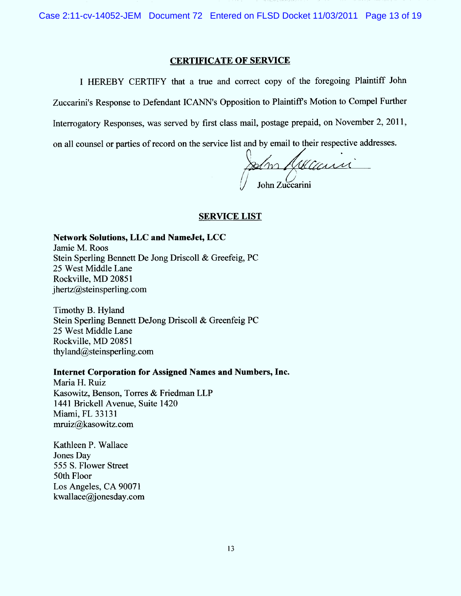Case 2:11-cv-14052-JEM Document 72 Entered on FLSD Docket 11/03/2011 Page 13 of 19

### **CERTIFICATE OF SERVICE**

I HEREBY CERTIFY that a true and correct copy of the foregoing Plaintiff John Zuccarini's Response to Defendant ICANN's Opposition to Plaintiff's Motion to Compel Further Interrogatory Responses, was served by first class mail, postage prepaid, on November 2, 2011, on all counsel or parties of record on the service list and by email to their respective addresses.

Um *Miliciain* 

### **SERVICE LIST**

**Network Solutions, LLC and NameJet, LCC** Jamie M. Roos Stein Sperling Bennett De Jong Driscoll & Greefeig, PC 25 West Middle Lane Rockville, MD 20851 jhertz@steinsperling.com

Timothy B. Hyland Stein Sperling Bennett DeJong Driscoll & Greenfeig PC 25 West Middle Lane Rockville, MD 20851 thyland@steinsperling.com

### Internet Corporation for Assigned Names and Numbers, Inc.

Maria H. Ruiz Kasowitz, Benson, Torres & Friedman LLP 1441 Brickell Avenue, Suite 1420 Miami, FL 33131 mruiz@kasowitz.com

Kathleen P. Wallace Jones Day 555 S. Flower Street 50th Floor Los Angeles, CA 90071 kwallace@jonesday.com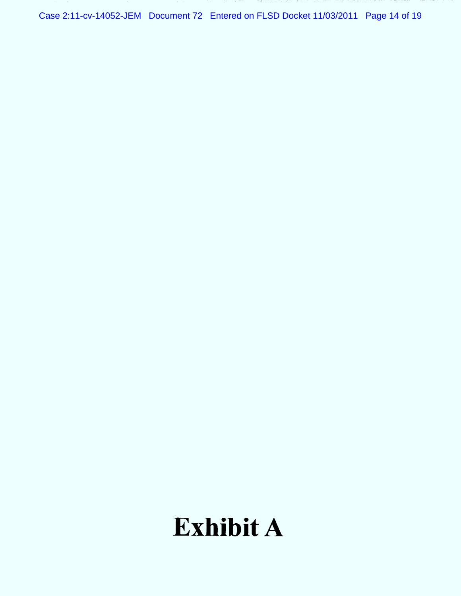Case 2:11-cv-14052-JEM Document 72 Entered on FLSD Docket 11/03/2011 Page 14 of 19

# Exhibit A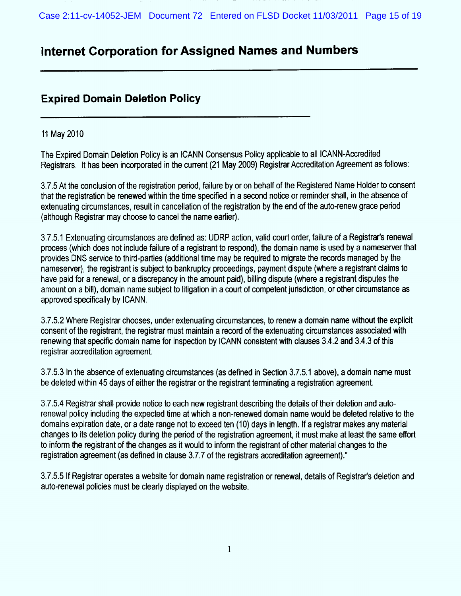## Internet Corporation for Assigned Names and Numbers

### **Expired Domain Deletion Policy**

11 May 2010

The Expired Domain Deletion Policy is an ICANN Consensus Policy applicable to alI IcANN-Accredited Registrars. It has been incorporated in the current (21 May 2009) Registrar Accreditation Agreement as follows:

3.7.5At the conclusion of the registration period, failure by or on behalf of the Registered Name Holder to consent that the registration be renewed within the time specifiet in a second notice or reminder shall, in the absence of extenuating circumstances, result in cancellation of the registration by the end of the auto-renew grace periot (although Registrar may choose to cancel the name earlier).

3.7.5.1 Extenuating circumstances are defined as: UDRP action, valid coud order, failure of a Registrar's renewal process (which does not include failure of a registrant to respond), the domain name is used by a nameserver that provides DNS service to third-parties (additional time may be required to migrate the records managed by the nameserver), the registrant is subject to bankruptcy proceedings, payment dispute (where a registrant claims to have paid for a renewal, or a discrepancy in the amount paid), billing dispute (where a registrant disputes the amount on a bill), domaln name subject to litigation in a court of competent jurisdiction, or other circumstance as approved specifically by ICANN.

3.7.5.2 W here Registrar chooses, under extenuating circumstances, to renew a domain name without the explicit consent of the registrant, the registrar must maintain a record of the extenuating circumstances associated with renewing that specific domain name for inspection by ICANN consistent with clauses 3.4.2 and 3.4.3 of this registrar accreditation agreement.

3.7.5.3 In the absence of extenuating circumstances (as defined in Section 3.7.5.1 above), a domain name must be deleted within 45 days of either the registrar or the registrant terminating a registration agreement.

3.7.5.4 Registrar shall provide notice to each new registrant describing the details of their deletion and autorenewal policy including the expected time at which a non-renewed domain name would be deletet relative to the domains expiration date, or a date range not to exceed ten (10) days in length. If a registrar makes any material changes to its deletion policy during the period of the registration agreement, it must make at least the same effort to inform the registrant of the changes as it would to inform the registrant of other material changes to the registration agreement (as defined in clause 3.7.7 of the registrars accreditation agreement)."

3.7.5.5 If Registrar operates a website for domain name registration or renewal, details of Registrar's deletion and auto-renewal policies must be clearly displayed on the website.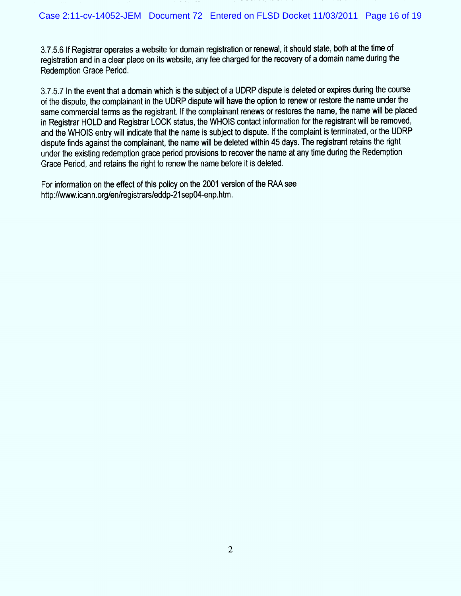3.7.5.6 lf Registrar operates a website for domain registration or renewal, it should state, both at the time of registration and in a clear place on its website, any fee charged for the recovery of a domain name during the Redemption Grace Period.

3.7.5.7 In the event that a domain which is the subject of a UDRP dispute is deleted or expires during the course of the dispute, the complainant in the UDRP dispute will have the option to renew or restore the name under the same commercial terms as the registrant. lf the complainant renews or restores the name, the name will be placed in Registrar HOLD and Registrar LOCK status, the WHOIS contact information for the registrant will be removed, and the WHOIS entry will indicate that the name is subject to dispute. If the complaint is terminated, or the UDRP dispute finds against the complainant, the name will be deleted within 45 days. The registrant retains the right under the existing redemption grace period provisions to recover the name at any time during the Redemption Grace Period, and retains the right to renew the name before it is deleted.

For information on the effect of this policy on the 2001 version of the RAA see http://www.icann.org/en/registrars/eddp-21sep04-enp.htm.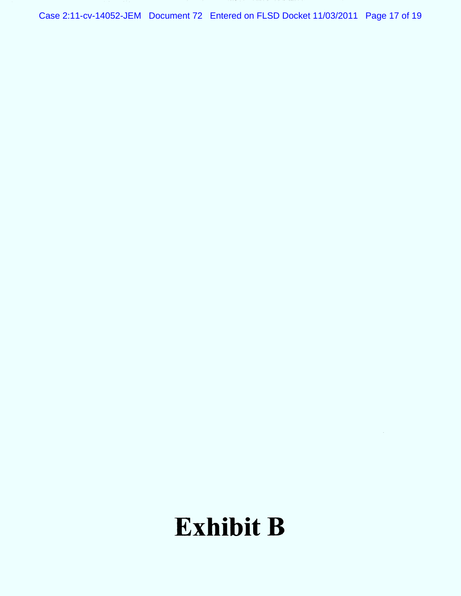Case 2:11-cv-14052-JEM Document 72 Entered on FLSD Docket 11/03/2011 Page 17 of 19

# Exhibit B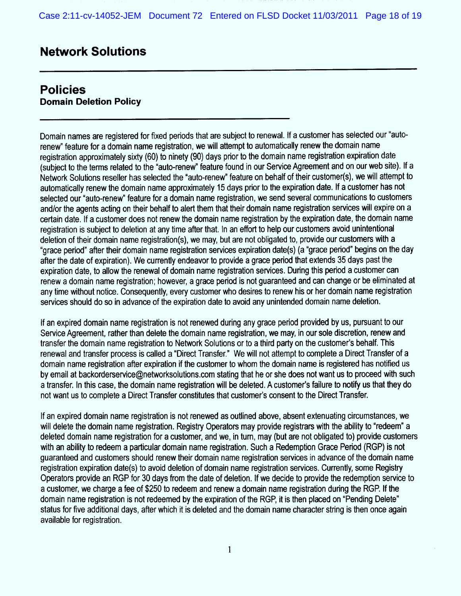## **Network Solutions**

### Policies **Domain Deletion Policy**

Domain names are registered for fixed periods that are subject to renewal. lf a customer has selected our 'autorenew'' feature for a domain name registration, we will attempt to automatically renew the domain name registration approximately sixty (6û) to ninety (9û) days prior to the domain name registration expiration tate (subject to the terms related to the "auto-renew" feature found in our Service Agreement and on our web site). If a Network Solutions reseller has selected the "auto-renew" feature on behalf of their customer(s), we will attempt to automatically renew the domain name approximately 15 days prior to the expiration date. If a customer has not selected our "auto-renew" feature for a domain name registration, we send several communications to customers and/or the agents acting on their behalf to alert them that their domain name registration services will expire on a certain date. If a customer does not renew the domain name registration by the expiration date, the domain name registration is subject to teletion at any time after that. ln an effort to help our customers avoid unintentional deletion of their domain name registration(s), we may, but are not obligated to, provide our customers with a "grace period" after their domain name registration services expiration date(s) (a "grace period" begins on the day after the date of expiration). We currently endeavor to provide a grace period that extends 35 days past the expiration date, to allow the renewal of domain name registration services. During this period a customer can renew a domain name registration', however, a grace period is not guaranteed and can change or be eliminated at any time without notice. Consequently, every customer who desires to renew his or her domain name registration services should do so in advance of the expiration date to avoid any unintended domain name deletion.

If an expired domain name registration is not renewed during any grace period provided by us, pursuant to our Service Agreement, rather than delete the domain name registration, we may, in our sole discretion, renew and transfer the domain name registration to Network Solutions or to a third party on the customer's behalf. This renewal and transfer process is called a ''Direct Transfec'' We will not attempt to complete a Direct Transfer of a domain name registration after expiration if the customer to whom the domain name is registered has notified us by email at backorderservice@networksolutions.com stating that he or she does not want us to proceed with such a transfer, In this case, the tomain name registration will be deleted. A customer's failure to notify us that they do not want us to complete a Direct Transfer constitutes that customer's consent to the Direct Transfer.

If an expired domain name registration is not renewed as outlined above, absent extenuating circumstances, we will delete the domain name registration. Registry Operators may provide registrars with the ability to "redeem" a deleted domain name registration for a customer, and we, in turn, may (but are not obligated to) provide customers with an ability to redeem a particular domain name registration. Such a Redemption Graœ Period (RGP) is not guaranteed and customers should renew their domain name registration services in advance of the domain name registration expiration date(s) to avoid deletion of domain name registration services. Currently, some Registry Operators provide an RGP for 30 days from the date of deletion. If we decide to provide the redemption service to a customer, we charge a fee of \$250 to redeem and renew a domain name registration during the RGP. If the domain name registration is not redeemed by the expiration of the RGP, it is then placed on ''Pending Delete'' status for five additional days, after which it is deleted and the domain name character string is then once again available for registration.